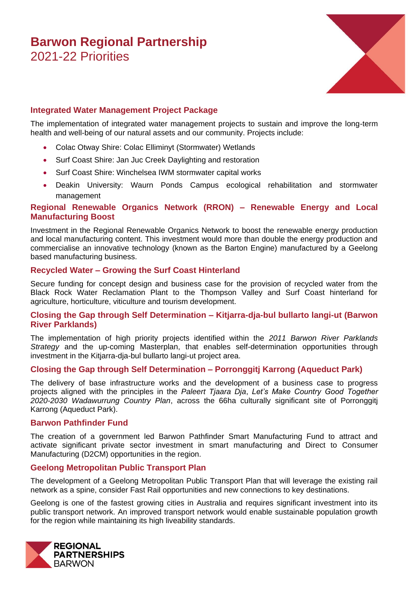# **Barwon Regional Partnership** 2021-22 Priorities



# **Integrated Water Management Project Package**

The implementation of integrated water management projects to sustain and improve the long-term health and well-being of our natural assets and our community. Projects include:

- Colac Otway Shire: Colac Elliminyt (Stormwater) Wetlands
- Surf Coast Shire: Jan Juc Creek Daylighting and restoration
- Surf Coast Shire: Winchelsea IWM stormwater capital works
- Deakin University: Waurn Ponds Campus ecological rehabilitation and stormwater management

# **Regional Renewable Organics Network (RRON) – Renewable Energy and Local Manufacturing Boost**

Investment in the Regional Renewable Organics Network to boost the renewable energy production and local manufacturing content. This investment would more than double the energy production and commercialise an innovative technology (known as the Barton Engine) manufactured by a Geelong based manufacturing business.

# **Recycled Water – Growing the Surf Coast Hinterland**

Secure funding for concept design and business case for the provision of recycled water from the Black Rock Water Reclamation Plant to the Thompson Valley and Surf Coast hinterland for agriculture, horticulture, viticulture and tourism development.

# **Closing the Gap through Self Determination – Kitjarra-dja-bul bullarto langi-ut (Barwon River Parklands)**

The implementation of high priority projects identified within the *2011 Barwon River Parklands Strategy* and the up-coming Masterplan, that enables self-determination opportunities through investment in the Kitjarra-dja-bul bullarto langi-ut project area.

# **Closing the Gap through Self Determination – Porronggitj Karrong (Aqueduct Park)**

The delivery of base infrastructure works and the development of a business case to progress projects aligned with the principles in the *Paleert Tjaara Dja*, *Let's Make Country Good Together 2020-2030 Wadawurrung Country Plan*, across the 66ha culturally significant site of Porronggitj Karrong (Aqueduct Park).

#### **Barwon Pathfinder Fund**

The creation of a government led Barwon Pathfinder Smart Manufacturing Fund to attract and activate significant private sector investment in smart manufacturing and Direct to Consumer Manufacturing (D2CM) opportunities in the region.

# **Geelong Metropolitan Public Transport Plan**

The development of a Geelong Metropolitan Public Transport Plan that will leverage the existing rail network as a spine, consider Fast Rail opportunities and new connections to key destinations.

Geelong is one of the fastest growing cities in Australia and requires significant investment into its public transport network. An improved transport network would enable sustainable population growth for the region while maintaining its high liveability standards.